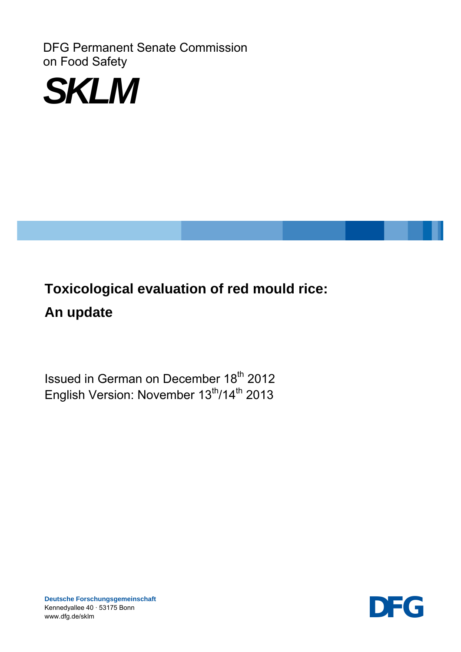DFG Permanent Senate Commission on Food Safety



# **Toxicological evaluation of red mould rice: An update**

Issued in German on December 18<sup>th</sup> 2012 English Version: November 13<sup>th</sup>/14<sup>th</sup> 2013



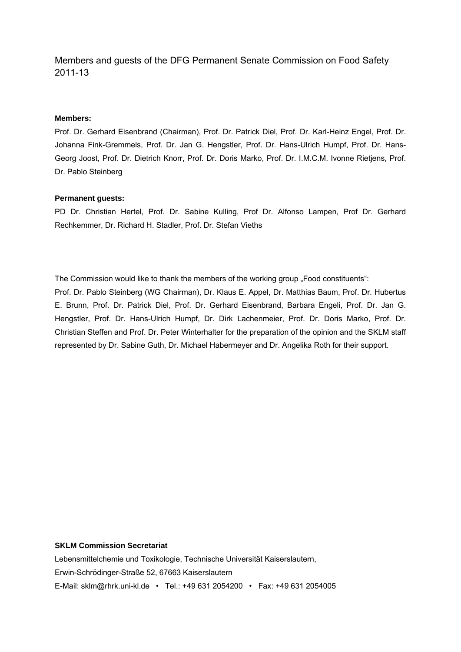## Members and guests of the DFG Permanent Senate Commission on Food Safety 2011-13

#### **Members:**

Prof. Dr. Gerhard Eisenbrand (Chairman), Prof. Dr. Patrick Diel, Prof. Dr. Karl-Heinz Engel, Prof. Dr. Johanna Fink-Gremmels, Prof. Dr. Jan G. Hengstler, Prof. Dr. Hans-Ulrich Humpf, Prof. Dr. Hans-Georg Joost, Prof. Dr. Dietrich Knorr, Prof. Dr. Doris Marko, Prof. Dr. I.M.C.M. Ivonne Rietjens, Prof. Dr. Pablo Steinberg

#### **Permanent guests:**

PD Dr. Christian Hertel, Prof. Dr. Sabine Kulling, Prof Dr. Alfonso Lampen, Prof Dr. Gerhard Rechkemmer, Dr. Richard H. Stadler, Prof. Dr. Stefan Vieths

The Commission would like to thank the members of the working group "Food constituents": Prof. Dr. Pablo Steinberg (WG Chairman), Dr. Klaus E. Appel, Dr. Matthias Baum, Prof. Dr. Hubertus E. Brunn, Prof. Dr. Patrick Diel, Prof. Dr. Gerhard Eisenbrand, Barbara Engeli, Prof. Dr. Jan G. Hengstler, Prof. Dr. Hans-Ulrich Humpf, Dr. Dirk Lachenmeier, Prof. Dr. Doris Marko, Prof. Dr. Christian Steffen and Prof. Dr. Peter Winterhalter for the preparation of the opinion and the SKLM staff represented by Dr. Sabine Guth, Dr. Michael Habermeyer and Dr. Angelika Roth for their support.

#### **SKLM Commission Secretariat**

Lebensmittelchemie und Toxikologie, Technische Universität Kaiserslautern, Erwin-Schrödinger-Straße 52, 67663 Kaiserslautern E-Mail: sklm@rhrk.uni-kl.de • Tel.: +49 631 2054200 • Fax: +49 631 2054005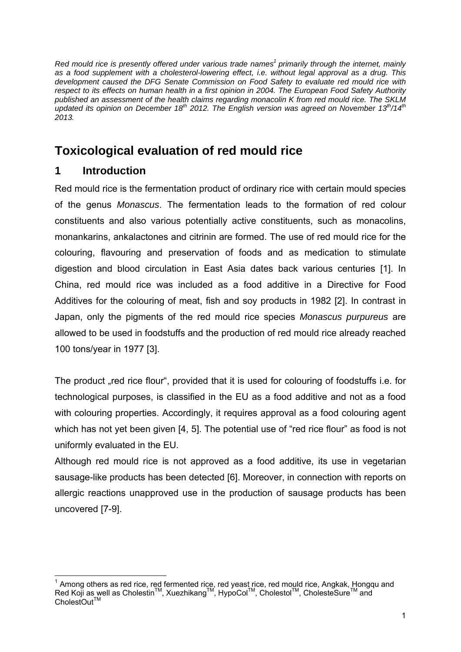*Red mould rice is presently offered under various trade names<sup>1</sup> primarily through the internet, mainly as a food supplement with a cholesterol-lowering effect, i.e. without legal approval as a drug. This development caused the DFG Senate Commission on Food Safety to evaluate red mould rice with respect to its effects on human health in a first opinion in 2004. The European Food Safety Authority published an assessment of the health claims regarding monacolin K from red mould rice. The SKLM updated its opinion on December 18th 2012. The English version was agreed on November 13th/14th 2013.* 

## **Toxicological evaluation of red mould rice**

## **1 Introduction**

Red mould rice is the fermentation product of ordinary rice with certain mould species of the genus *Monascus*. The fermentation leads to the formation of red colour constituents and also various potentially active constituents, such as monacolins, monankarins, ankalactones and citrinin are formed. The use of red mould rice for the colouring, flavouring and preservation of foods and as medication to stimulate digestion and blood circulation in East Asia dates back various centuries [1]. In China, red mould rice was included as a food additive in a Directive for Food Additives for the colouring of meat, fish and soy products in 1982 [2]. In contrast in Japan, only the pigments of the red mould rice species *Monascus purpureus* are allowed to be used in foodstuffs and the production of red mould rice already reached 100 tons/year in 1977 [3].

The product "red rice flour", provided that it is used for colouring of foodstuffs i.e. for technological purposes, is classified in the EU as a food additive and not as a food with colouring properties. Accordingly, it requires approval as a food colouring agent which has not yet been given [4, 5]. The potential use of "red rice flour" as food is not uniformly evaluated in the EU.

Although red mould rice is not approved as a food additive, its use in vegetarian sausage-like products has been detected [6]. Moreover, in connection with reports on allergic reactions unapproved use in the production of sausage products has been uncovered [7-9].

  $1$  Among others as red rice, red fermented rice, red yeast rice, red mould rice, Angkak, Hongqu and Red Koji as well as Cholestin<sup>™</sup>, Xuezhikang<sup>™</sup>, HypoCol™, Cholestol™, CholesteSure<sup>™</sup> and CholestOut™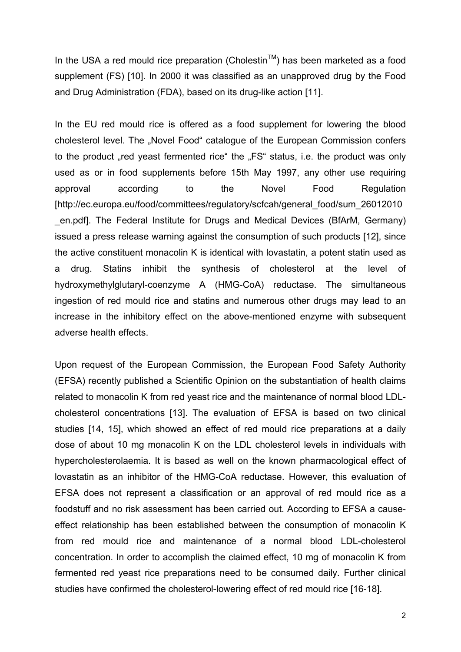In the USA a red mould rice preparation (Cholestin<sup>TM</sup>) has been marketed as a food supplement (FS) [10]. In 2000 it was classified as an unapproved drug by the Food and Drug Administration (FDA), based on its drug-like action [11].

In the EU red mould rice is offered as a food supplement for lowering the blood cholesterol level. The "Novel Food" catalogue of the European Commission confers to the product "red yeast fermented rice" the "FS" status, i.e. the product was only used as or in food supplements before 15th May 1997, any other use requiring approval according to the Novel Food Regulation [http://ec.europa.eu/food/committees/regulatory/scfcah/general\_food/sum\_26012010 \_en.pdf]. The Federal Institute for Drugs and Medical Devices (BfArM, Germany) issued a press release warning against the consumption of such products [12], since the active constituent monacolin K is identical with lovastatin, a potent statin used as a drug. Statins inhibit the synthesis of cholesterol at the level of hydroxymethylglutaryl-coenzyme A (HMG-CoA) reductase. The simultaneous ingestion of red mould rice and statins and numerous other drugs may lead to an increase in the inhibitory effect on the above-mentioned enzyme with subsequent adverse health effects.

Upon request of the European Commission, the European Food Safety Authority (EFSA) recently published a Scientific Opinion on the substantiation of health claims related to monacolin K from red yeast rice and the maintenance of normal blood LDLcholesterol concentrations [13]. The evaluation of EFSA is based on two clinical studies [14, 15], which showed an effect of red mould rice preparations at a daily dose of about 10 mg monacolin K on the LDL cholesterol levels in individuals with hypercholesterolaemia. It is based as well on the known pharmacological effect of lovastatin as an inhibitor of the HMG-CoA reductase. However, this evaluation of EFSA does not represent a classification or an approval of red mould rice as a foodstuff and no risk assessment has been carried out. According to EFSA a causeeffect relationship has been established between the consumption of monacolin K from red mould rice and maintenance of a normal blood LDL-cholesterol concentration. In order to accomplish the claimed effect, 10 mg of monacolin K from fermented red yeast rice preparations need to be consumed daily. Further clinical studies have confirmed the cholesterol-lowering effect of red mould rice [16-18].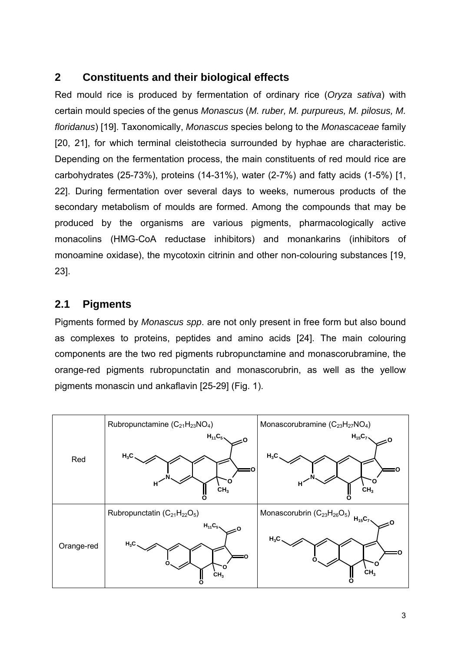## **2 Constituents and their biological effects**

Red mould rice is produced by fermentation of ordinary rice (*Oryza sativa*) with certain mould species of the genus *Monascus* (*M. ruber, M. purpureus, M. pilosus, M. floridanus*) [19]. Taxonomically, *Monascus* species belong to the *Monascaceae* family [20, 21], for which terminal cleistothecia surrounded by hyphae are characteristic. Depending on the fermentation process, the main constituents of red mould rice are carbohydrates (25-73%), proteins (14-31%), water (2-7%) and fatty acids (1-5%) [1, 22]. During fermentation over several days to weeks, numerous products of the secondary metabolism of moulds are formed. Among the compounds that may be produced by the organisms are various pigments, pharmacologically active monacolins (HMG-CoA reductase inhibitors) and monankarins (inhibitors of monoamine oxidase), the mycotoxin citrinin and other non-colouring substances [19, 23].

## **2.1 Pigments**

Pigments formed by *Monascus spp*. are not only present in free form but also bound as complexes to proteins, peptides and amino acids [24]. The main colouring components are the two red pigments rubropunctamine and monascorubramine, the orange-red pigments rubropunctatin and monascorubrin, as well as the yellow pigments monascin und ankaflavin [25-29] (Fig. 1).

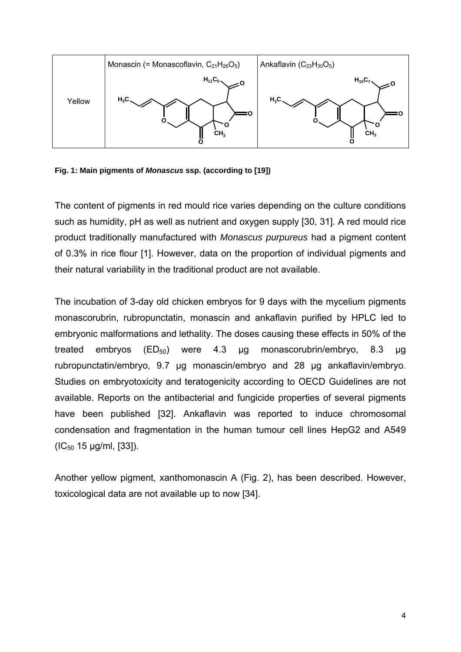

**Fig. 1: Main pigments of** *Monascus* **ssp. (according to [19])** 

The content of pigments in red mould rice varies depending on the culture conditions such as humidity, pH as well as nutrient and oxygen supply [30, 31]. A red mould rice product traditionally manufactured with *Monascus purpureus* had a pigment content of 0.3% in rice flour [1]. However, data on the proportion of individual pigments and their natural variability in the traditional product are not available.

The incubation of 3-day old chicken embryos for 9 days with the mycelium pigments monascorubrin, rubropunctatin, monascin and ankaflavin purified by HPLC led to embryonic malformations and lethality. The doses causing these effects in 50% of the treated embryos ( $ED_{50}$ ) were 4.3 μg monascorubrin/embryo, 8.3 μg rubropunctatin/embryo, 9.7 μg monascin/embryo and 28 μg ankaflavin/embryo. Studies on embryotoxicity and teratogenicity according to OECD Guidelines are not available. Reports on the antibacterial and fungicide properties of several pigments have been published [32]. Ankaflavin was reported to induce chromosomal condensation and fragmentation in the human tumour cell lines HepG2 and A549  $(IC_{50} 15 \mu g/ml, [33]).$ 

Another yellow pigment, xanthomonascin A (Fig. 2), has been described. However, toxicological data are not available up to now [34].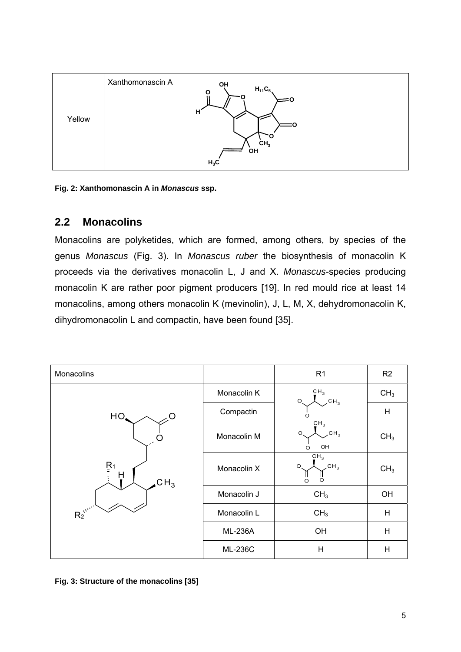

**Fig. 2: Xanthomonascin A in** *Monascus* **ssp.**

## **2.2 Monacolins**

Monacolins are polyketides, which are formed, among others, by species of the genus *Monascus* (Fig. 3). In *Monascus ruber* the biosynthesis of monacolin K proceeds via the derivatives monacolin L, J and X. *Monascus*-species producing monacolin K are rather poor pigment producers [19]. In red mould rice at least 14 monacolins, among others monacolin K (mevinolin), J, L, M, X, dehydromonacolin K, dihydromonacolin L and compactin, have been found [35].



**Fig. 3: Structure of the monacolins [35]**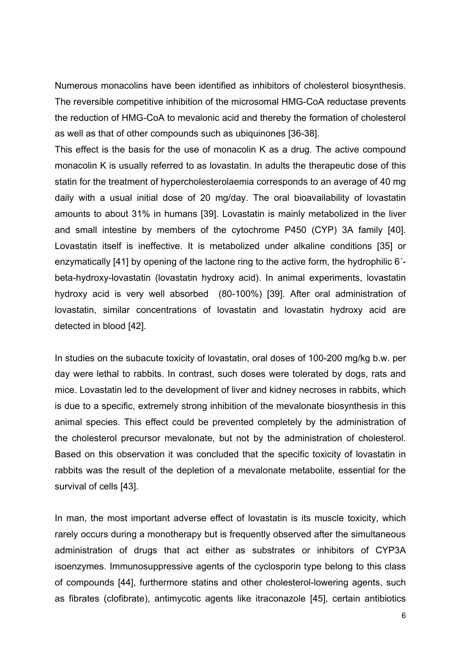Numerous monacolins have been identified as inhibitors of cholesterol biosynthesis. The reversible competitive inhibition of the microsomal HMG-CoA reductase prevents the reduction of HMG-CoA to mevalonic acid and thereby the formation of cholesterol as well as that of other compounds such as ubiquinones [36-38].

This effect is the basis for the use of monacolin K as a drug. The active compound monacolin K is usually referred to as lovastatin. In adults the therapeutic dose of this statin for the treatment of hypercholesterolaemia corresponds to an average of 40 mg daily with a usual initial dose of 20 mg/day. The oral bioavailability of lovastatin amounts to about 31% in humans [39]. Lovastatin is mainly metabolized in the liver and small intestine by members of the cytochrome P450 (CYP) 3A family [40]. Lovastatin itself is ineffective. It is metabolized under alkaline conditions [35] or enzymatically [41] by opening of the lactone ring to the active form, the hydrophilic 6´ beta-hydroxy-lovastatin (lovastatin hydroxy acid). In animal experiments, lovastatin hydroxy acid is very well absorbed (80-100%) [39]. After oral administration of lovastatin, similar concentrations of lovastatin and lovastatin hydroxy acid are detected in blood [42].

In studies on the subacute toxicity of lovastatin, oral doses of 100-200 mg/kg b.w. per day were lethal to rabbits. In contrast, such doses were tolerated by dogs, rats and mice. Lovastatin led to the development of liver and kidney necroses in rabbits, which is due to a specific, extremely strong inhibition of the mevalonate biosynthesis in this animal species. This effect could be prevented completely by the administration of the cholesterol precursor mevalonate, but not by the administration of cholesterol. Based on this observation it was concluded that the specific toxicity of lovastatin in rabbits was the result of the depletion of a mevalonate metabolite, essential for the survival of cells [43].

In man, the most important adverse effect of lovastatin is its muscle toxicity, which rarely occurs during a monotherapy but is frequently observed after the simultaneous administration of drugs that act either as substrates or inhibitors of CYP3A isoenzymes. Immunosuppressive agents of the cyclosporin type belong to this class of compounds [44], furthermore statins and other cholesterol-lowering agents, such as fibrates (clofibrate), antimycotic agents like itraconazole [45], certain antibiotics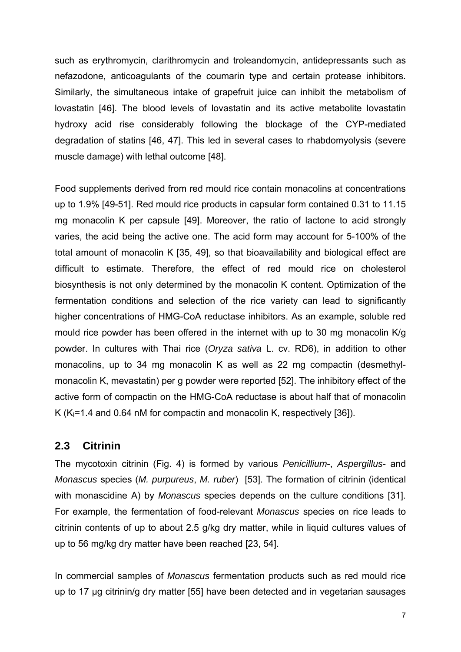such as erythromycin, clarithromycin and troleandomycin, antidepressants such as nefazodone, anticoagulants of the coumarin type and certain protease inhibitors. Similarly, the simultaneous intake of grapefruit juice can inhibit the metabolism of lovastatin [46]. The blood levels of lovastatin and its active metabolite lovastatin hydroxy acid rise considerably following the blockage of the CYP-mediated degradation of statins [46, 47]. This led in several cases to rhabdomyolysis (severe muscle damage) with lethal outcome [48].

Food supplements derived from red mould rice contain monacolins at concentrations up to 1.9% [49-51]. Red mould rice products in capsular form contained 0.31 to 11.15 mg monacolin K per capsule [49]. Moreover, the ratio of lactone to acid strongly varies, the acid being the active one. The acid form may account for 5-100% of the total amount of monacolin K [35, 49], so that bioavailability and biological effect are difficult to estimate. Therefore, the effect of red mould rice on cholesterol biosynthesis is not only determined by the monacolin K content. Optimization of the fermentation conditions and selection of the rice variety can lead to significantly higher concentrations of HMG-CoA reductase inhibitors. As an example, soluble red mould rice powder has been offered in the internet with up to 30 mg monacolin K/g powder. In cultures with Thai rice (*Oryza sativa* L. cv. RD6), in addition to other monacolins, up to 34 mg monacolin K as well as 22 mg compactin (desmethylmonacolin K, mevastatin) per g powder were reported [52]. The inhibitory effect of the active form of compactin on the HMG-CoA reductase is about half that of monacolin K ( $K<sub>1</sub>=1.4$  and 0.64 nM for compactin and monacolin K, respectively [36]).

## **2.3 Citrinin**

The mycotoxin citrinin (Fig. 4) is formed by various *Penicillium*-, *Aspergillus*- and *Monascus* species (*M. purpureus*, *M. ruber*) [53]. The formation of citrinin (identical with monascidine A) by *Monascus* species depends on the culture conditions [31]. For example, the fermentation of food-relevant *Monascus* species on rice leads to citrinin contents of up to about 2.5 g/kg dry matter, while in liquid cultures values of up to 56 mg/kg dry matter have been reached [23, 54].

In commercial samples of *Monascus* fermentation products such as red mould rice up to 17 μg citrinin/g dry matter [55] have been detected and in vegetarian sausages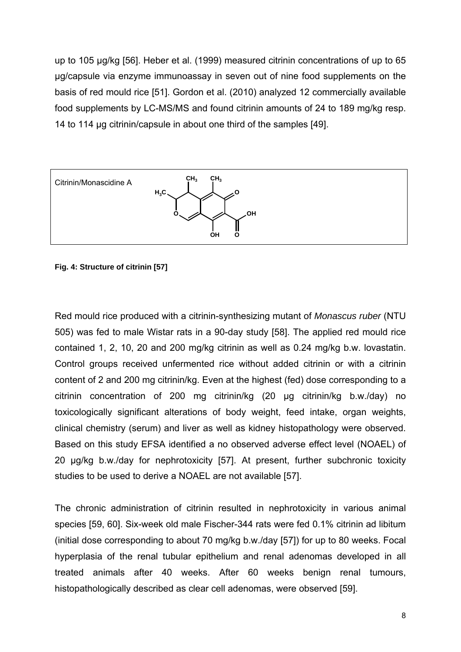up to 105 μg/kg [56]. Heber et al. (1999) measured citrinin concentrations of up to 65 µg/capsule via enzyme immunoassay in seven out of nine food supplements on the basis of red mould rice [51]. Gordon et al. (2010) analyzed 12 commercially available food supplements by LC-MS/MS and found citrinin amounts of 24 to 189 mg/kg resp. 14 to 114 µg citrinin/capsule in about one third of the samples [49].



#### **Fig. 4: Structure of citrinin [57]**

Red mould rice produced with a citrinin-synthesizing mutant of *Monascus ruber* (NTU 505) was fed to male Wistar rats in a 90-day study [58]. The applied red mould rice contained 1, 2, 10, 20 and 200 mg/kg citrinin as well as 0.24 mg/kg b.w. lovastatin. Control groups received unfermented rice without added citrinin or with a citrinin content of 2 and 200 mg citrinin/kg. Even at the highest (fed) dose corresponding to a citrinin concentration of 200 mg citrinin/kg (20 µg citrinin/kg b.w./day) no toxicologically significant alterations of body weight, feed intake, organ weights, clinical chemistry (serum) and liver as well as kidney histopathology were observed. Based on this study EFSA identified a no observed adverse effect level (NOAEL) of 20 µg/kg b.w./day for nephrotoxicity [57]. At present, further subchronic toxicity studies to be used to derive a NOAEL are not available [57].

The chronic administration of citrinin resulted in nephrotoxicity in various animal species [59, 60]. Six-week old male Fischer-344 rats were fed 0.1% citrinin ad libitum (initial dose corresponding to about 70 mg/kg b.w./day [57]) for up to 80 weeks. Focal hyperplasia of the renal tubular epithelium and renal adenomas developed in all treated animals after 40 weeks. After 60 weeks benign renal tumours, histopathologically described as clear cell adenomas, were observed [59].

8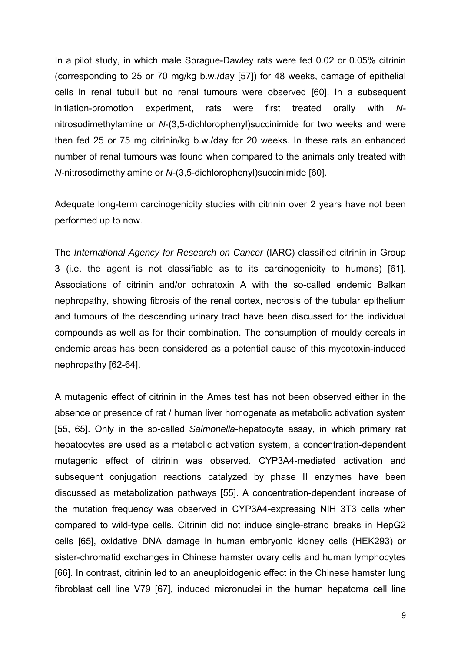In a pilot study, in which male Sprague-Dawley rats were fed 0.02 or 0.05% citrinin (corresponding to 25 or 70 mg/kg b.w./day [57]) for 48 weeks, damage of epithelial cells in renal tubuli but no renal tumours were observed [60]. In a subsequent initiation-promotion experiment, rats were first treated orally with *N*nitrosodimethylamine or *N*-(3,5-dichlorophenyl)succinimide for two weeks and were then fed 25 or 75 mg citrinin/kg b.w./day for 20 weeks. In these rats an enhanced number of renal tumours was found when compared to the animals only treated with *N*-nitrosodimethylamine or *N*-(3,5-dichlorophenyl)succinimide [60].

Adequate long-term carcinogenicity studies with citrinin over 2 years have not been performed up to now.

The *International Agency for Research on Cancer* (IARC) classified citrinin in Group 3 (i.e. the agent is not classifiable as to its carcinogenicity to humans) [61]. Associations of citrinin and/or ochratoxin A with the so-called endemic Balkan nephropathy, showing fibrosis of the renal cortex, necrosis of the tubular epithelium and tumours of the descending urinary tract have been discussed for the individual compounds as well as for their combination. The consumption of mouldy cereals in endemic areas has been considered as a potential cause of this mycotoxin-induced nephropathy [62-64].

A mutagenic effect of citrinin in the Ames test has not been observed either in the absence or presence of rat / human liver homogenate as metabolic activation system [55, 65]. Only in the so-called *Salmonella*-hepatocyte assay, in which primary rat hepatocytes are used as a metabolic activation system, a concentration-dependent mutagenic effect of citrinin was observed. CYP3A4-mediated activation and subsequent conjugation reactions catalyzed by phase II enzymes have been discussed as metabolization pathways [55]. A concentration-dependent increase of the mutation frequency was observed in CYP3A4-expressing NIH 3T3 cells when compared to wild-type cells. Citrinin did not induce single-strand breaks in HepG2 cells [65], oxidative DNA damage in human embryonic kidney cells (HEK293) or sister-chromatid exchanges in Chinese hamster ovary cells and human lymphocytes [66]. In contrast, citrinin led to an aneuploidogenic effect in the Chinese hamster lung fibroblast cell line V79 [67], induced micronuclei in the human hepatoma cell line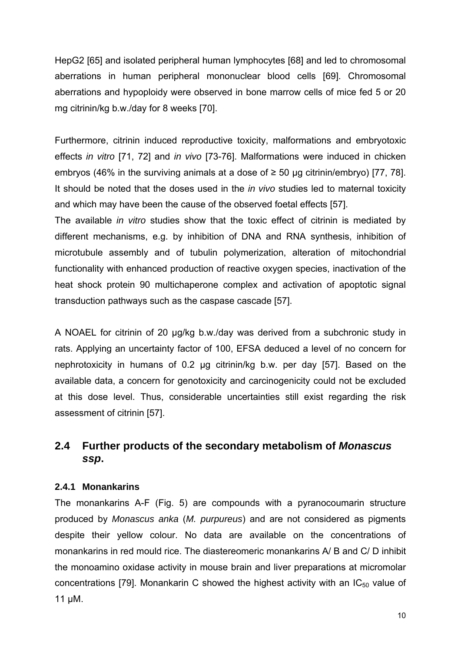HepG2 [65] and isolated peripheral human lymphocytes [68] and led to chromosomal aberrations in human peripheral mononuclear blood cells [69]. Chromosomal aberrations and hypoploidy were observed in bone marrow cells of mice fed 5 or 20 mg citrinin/kg b.w./day for 8 weeks [70].

Furthermore, citrinin induced reproductive toxicity, malformations and embryotoxic effects *in vitro* [71, 72] and *in vivo* [73-76]. Malformations were induced in chicken embryos (46% in the surviving animals at a dose of  $\geq$  50 µg citrinin/embryo) [77, 78]. It should be noted that the doses used in the *in vivo* studies led to maternal toxicity and which may have been the cause of the observed foetal effects [57].

The available *in vitro* studies show that the toxic effect of citrinin is mediated by different mechanisms, e.g. by inhibition of DNA and RNA synthesis, inhibition of microtubule assembly and of tubulin polymerization, alteration of mitochondrial functionality with enhanced production of reactive oxygen species, inactivation of the heat shock protein 90 multichaperone complex and activation of apoptotic signal transduction pathways such as the caspase cascade [57].

A NOAEL for citrinin of 20 µg/kg b.w./day was derived from a subchronic study in rats. Applying an uncertainty factor of 100, EFSA deduced a level of no concern for nephrotoxicity in humans of 0.2 µg citrinin/kg b.w. per day [57]. Based on the available data, a concern for genotoxicity and carcinogenicity could not be excluded at this dose level. Thus, considerable uncertainties still exist regarding the risk assessment of citrinin [57].

## **2.4 Further products of the secondary metabolism of** *Monascus ssp***.**

#### **2.4.1 Monankarins**

The monankarins A-F (Fig. 5) are compounds with a pyranocoumarin structure produced by *Monascus anka* (*M. purpureus*) and are not considered as pigments despite their yellow colour. No data are available on the concentrations of monankarins in red mould rice. The diastereomeric monankarins A/ B and C/ D inhibit the monoamino oxidase activity in mouse brain and liver preparations at micromolar concentrations [79]. Monankarin C showed the highest activity with an  $IC_{50}$  value of 11 µM.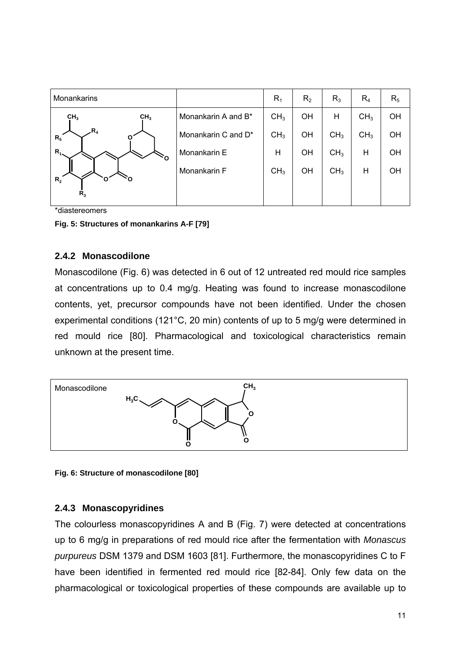| Monankarins     |                 |                     | $R_1$           | R <sub>2</sub> | $R_3$           | $R_4$           | $R_5$ |
|-----------------|-----------------|---------------------|-----------------|----------------|-----------------|-----------------|-------|
| CH <sub>3</sub> | CH <sub>3</sub> | Monankarin A and B* | CH <sub>3</sub> | OH             | H               | CH <sub>3</sub> | OH    |
| $R_4$<br>$R_5$  | ٥ŕ              | Monankarin C and D* | CH <sub>3</sub> | OH             | CH <sub>3</sub> | CH <sub>3</sub> | OH    |
| $R_{1}$         |                 | Monankarin E        | Η               | OH             | CH <sub>3</sub> | Η               | OH    |
| $R_{2}$<br>О    | О               | Monankarin F        | CH <sub>3</sub> | OH             | CH <sub>3</sub> | $\mathsf{H}$    | OH    |
| $R_3$           |                 |                     |                 |                |                 |                 |       |

\*diastereomers

**Fig. 5: Structures of monankarins A-F [79]** 

#### **2.4.2 Monascodilone**

Monascodilone (Fig. 6) was detected in 6 out of 12 untreated red mould rice samples at concentrations up to 0.4 mg/g. Heating was found to increase monascodilone contents, yet, precursor compounds have not been identified. Under the chosen experimental conditions (121°C, 20 min) contents of up to 5 mg/g were determined in red mould rice [80]. Pharmacological and toxicological characteristics remain unknown at the present time.



**Fig. 6: Structure of monascodilone [80]** 

#### **2.4.3 Monascopyridines**

The colourless monascopyridines A and B (Fig. 7) were detected at concentrations up to 6 mg/g in preparations of red mould rice after the fermentation with *Monascus purpureus* DSM 1379 and DSM 1603 [81]. Furthermore, the monascopyridines C to F have been identified in fermented red mould rice [82-84]. Only few data on the pharmacological or toxicological properties of these compounds are available up to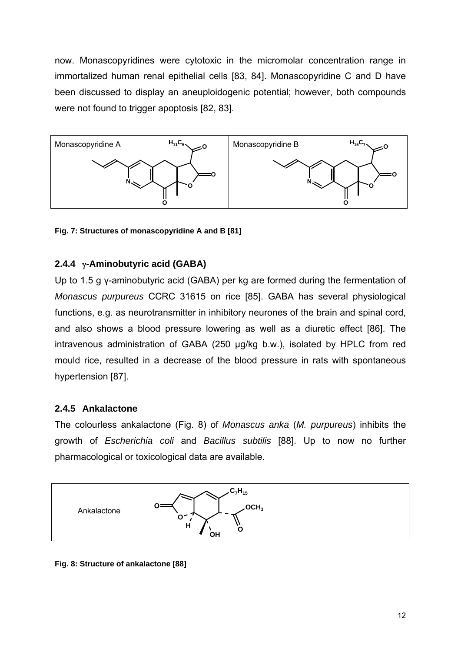now. Monascopyridines were cytotoxic in the micromolar concentration range in immortalized human renal epithelial cells [83, 84]. Monascopyridine C and D have been discussed to display an aneuploidogenic potential; however, both compounds were not found to trigger apoptosis [82, 83].



**Fig. 7: Structures of monascopyridine A and B [81]** 

## **2.4.4 -Aminobutyric acid (GABA)**

Up to 1.5 g γ-aminobutyric acid (GABA) per kg are formed during the fermentation of *Monascus purpureus* CCRC 31615 on rice [85]. GABA has several physiological functions, e.g. as neurotransmitter in inhibitory neurones of the brain and spinal cord, and also shows a blood pressure lowering as well as a diuretic effect [86]. The intravenous administration of GABA (250 μg/kg b.w.), isolated by HPLC from red mould rice, resulted in a decrease of the blood pressure in rats with spontaneous hypertension [87].

#### **2.4.5 Ankalactone**

The colourless ankalactone (Fig. 8) of *Monascus anka* (*M. purpureus*) inhibits the growth of *Escherichia coli* and *Bacillus subtilis* [88]. Up to now no further pharmacological or toxicological data are available.



**Fig. 8: Structure of ankalactone [88]**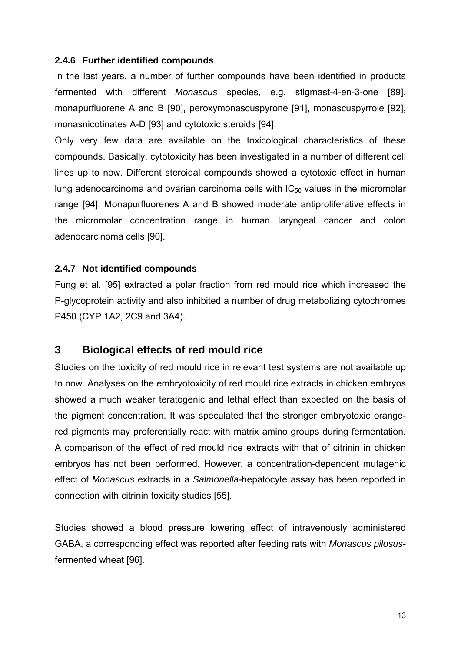#### **2.4.6 Further identified compounds**

In the last years, a number of further compounds have been identified in products fermented with different *Monascus* species, e.g. stigmast-4-en-3-one [89], monapurfluorene A and B [90]**,** peroxymonascuspyrone [91], monascuspyrrole [92], monasnicotinates A-D [93] and cytotoxic steroids [94].

Only very few data are available on the toxicological characteristics of these compounds. Basically, cytotoxicity has been investigated in a number of different cell lines up to now. Different steroidal compounds showed a cytotoxic effect in human lung adenocarcinoma and ovarian carcinoma cells with  $IC_{50}$  values in the micromolar range [94]. Monapurfluorenes A and B showed moderate antiproliferative effects in the micromolar concentration range in human laryngeal cancer and colon adenocarcinoma cells [90].

#### **2.4.7 Not identified compounds**

Fung et al. [95] extracted a polar fraction from red mould rice which increased the P-glycoprotein activity and also inhibited a number of drug metabolizing cytochromes P450 (CYP 1A2, 2C9 and 3A4).

## **3 Biological effects of red mould rice**

Studies on the toxicity of red mould rice in relevant test systems are not available up to now. Analyses on the embryotoxicity of red mould rice extracts in chicken embryos showed a much weaker teratogenic and lethal effect than expected on the basis of the pigment concentration. It was speculated that the stronger embryotoxic orangered pigments may preferentially react with matrix amino groups during fermentation. A comparison of the effect of red mould rice extracts with that of citrinin in chicken embryos has not been performed. However, a concentration-dependent mutagenic effect of *Monascus* extracts in a *Salmonella*-hepatocyte assay has been reported in connection with citrinin toxicity studies [55].

Studies showed a blood pressure lowering effect of intravenously administered GABA, a corresponding effect was reported after feeding rats with *Monascus pilosus*fermented wheat [96].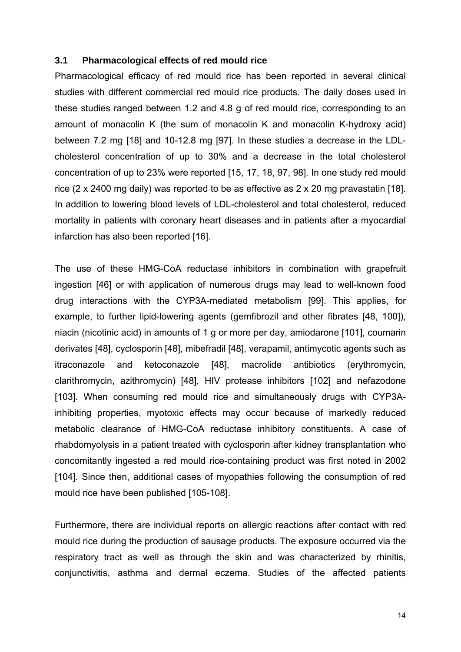#### **3.1 Pharmacological effects of red mould rice**

Pharmacological efficacy of red mould rice has been reported in several clinical studies with different commercial red mould rice products. The daily doses used in these studies ranged between 1.2 and 4.8 g of red mould rice, corresponding to an amount of monacolin K (the sum of monacolin K and monacolin K-hydroxy acid) between 7.2 mg [18] and 10-12.8 mg [97]. In these studies a decrease in the LDLcholesterol concentration of up to 30% and a decrease in the total cholesterol concentration of up to 23% were reported [15, 17, 18, 97, 98]. In one study red mould rice (2 x 2400 mg daily) was reported to be as effective as 2 x 20 mg pravastatin [18]. In addition to lowering blood levels of LDL-cholesterol and total cholesterol, reduced mortality in patients with coronary heart diseases and in patients after a myocardial infarction has also been reported [16].

The use of these HMG-CoA reductase inhibitors in combination with grapefruit ingestion [46] or with application of numerous drugs may lead to well-known food drug interactions with the CYP3A-mediated metabolism [99]. This applies, for example, to further lipid-lowering agents (gemfibrozil and other fibrates [48, 100]), niacin (nicotinic acid) in amounts of 1 g or more per day, amiodarone [101], coumarin derivates [48], cyclosporin [48], mibefradil [48], verapamil, antimycotic agents such as itraconazole and ketoconazole [48], macrolide antibiotics (erythromycin, clarithromycin, azithromycin) [48], HIV protease inhibitors [102] and nefazodone [103]. When consuming red mould rice and simultaneously drugs with CYP3Ainhibiting properties, myotoxic effects may occur because of markedly reduced metabolic clearance of HMG-CoA reductase inhibitory constituents. A case of rhabdomyolysis in a patient treated with cyclosporin after kidney transplantation who concomitantly ingested a red mould rice-containing product was first noted in 2002 [104]. Since then, additional cases of myopathies following the consumption of red mould rice have been published [105-108].

Furthermore, there are individual reports on allergic reactions after contact with red mould rice during the production of sausage products. The exposure occurred via the respiratory tract as well as through the skin and was characterized by rhinitis, conjunctivitis, asthma and dermal eczema. Studies of the affected patients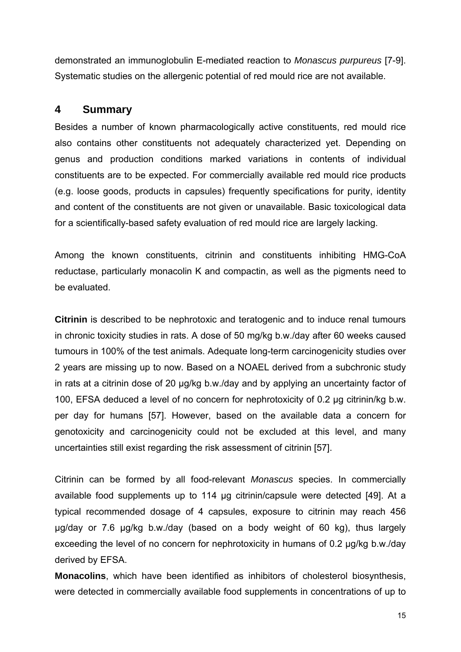demonstrated an immunoglobulin E-mediated reaction to *Monascus purpureus* [7-9]. Systematic studies on the allergenic potential of red mould rice are not available.

### **4 Summary**

Besides a number of known pharmacologically active constituents, red mould rice also contains other constituents not adequately characterized yet. Depending on genus and production conditions marked variations in contents of individual constituents are to be expected. For commercially available red mould rice products (e.g. loose goods, products in capsules) frequently specifications for purity, identity and content of the constituents are not given or unavailable. Basic toxicological data for a scientifically-based safety evaluation of red mould rice are largely lacking.

Among the known constituents, citrinin and constituents inhibiting HMG-CoA reductase, particularly monacolin K and compactin, as well as the pigments need to be evaluated.

**Citrinin** is described to be nephrotoxic and teratogenic and to induce renal tumours in chronic toxicity studies in rats. A dose of 50 mg/kg b.w./day after 60 weeks caused tumours in 100% of the test animals. Adequate long-term carcinogenicity studies over 2 years are missing up to now. Based on a NOAEL derived from a subchronic study in rats at a citrinin dose of 20 µg/kg b.w./day and by applying an uncertainty factor of 100, EFSA deduced a level of no concern for nephrotoxicity of 0.2 µg citrinin/kg b.w. per day for humans [57]. However, based on the available data a concern for genotoxicity and carcinogenicity could not be excluded at this level, and many uncertainties still exist regarding the risk assessment of citrinin [57].

Citrinin can be formed by all food-relevant *Monascus* species. In commercially available food supplements up to 114 µg citrinin/capsule were detected [49]. At a typical recommended dosage of 4 capsules, exposure to citrinin may reach 456 μg/day or 7.6 µg/kg b.w./day (based on a body weight of 60 kg), thus largely exceeding the level of no concern for nephrotoxicity in humans of 0.2 µg/kg b.w./day derived by EFSA.

**Monacolins**, which have been identified as inhibitors of cholesterol biosynthesis, were detected in commercially available food supplements in concentrations of up to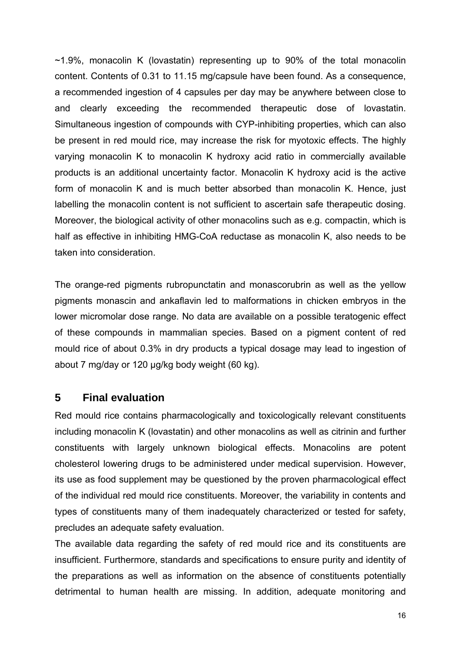~1.9%, monacolin K (lovastatin) representing up to 90% of the total monacolin content. Contents of 0.31 to 11.15 mg/capsule have been found. As a consequence, a recommended ingestion of 4 capsules per day may be anywhere between close to and clearly exceeding the recommended therapeutic dose of lovastatin. Simultaneous ingestion of compounds with CYP-inhibiting properties, which can also be present in red mould rice, may increase the risk for myotoxic effects. The highly varying monacolin K to monacolin K hydroxy acid ratio in commercially available products is an additional uncertainty factor. Monacolin K hydroxy acid is the active form of monacolin K and is much better absorbed than monacolin K. Hence, just labelling the monacolin content is not sufficient to ascertain safe therapeutic dosing. Moreover, the biological activity of other monacolins such as e.g. compactin, which is half as effective in inhibiting HMG-CoA reductase as monacolin K, also needs to be taken into consideration.

The orange-red pigments rubropunctatin and monascorubrin as well as the yellow pigments monascin and ankaflavin led to malformations in chicken embryos in the lower micromolar dose range. No data are available on a possible teratogenic effect of these compounds in mammalian species. Based on a pigment content of red mould rice of about 0.3% in dry products a typical dosage may lead to ingestion of about 7 mg/day or 120 μg/kg body weight (60 kg).

## **5 Final evaluation**

Red mould rice contains pharmacologically and toxicologically relevant constituents including monacolin K (lovastatin) and other monacolins as well as citrinin and further constituents with largely unknown biological effects. Monacolins are potent cholesterol lowering drugs to be administered under medical supervision. However, its use as food supplement may be questioned by the proven pharmacological effect of the individual red mould rice constituents. Moreover, the variability in contents and types of constituents many of them inadequately characterized or tested for safety, precludes an adequate safety evaluation.

The available data regarding the safety of red mould rice and its constituents are insufficient. Furthermore, standards and specifications to ensure purity and identity of the preparations as well as information on the absence of constituents potentially detrimental to human health are missing. In addition, adequate monitoring and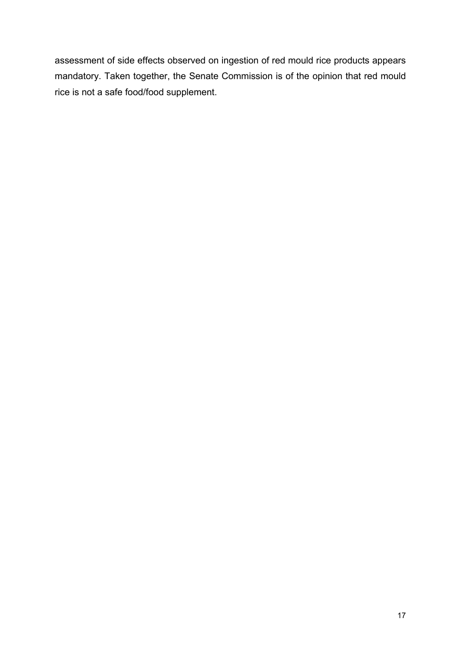assessment of side effects observed on ingestion of red mould rice products appears mandatory. Taken together, the Senate Commission is of the opinion that red mould rice is not a safe food/food supplement.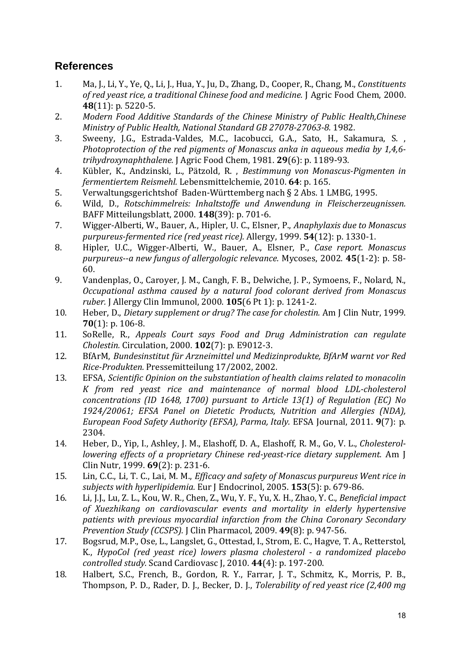## **References**

- 1. Ma, J., Li, Y., Ye, Q., Li, J., Hua, Y., Ju, D., Zhang, D., Cooper, R., Chang, M., *Constituents of red yeast rice, a traditional Chinese food and medicine.* J Agric Food Chem, 2000. **48**(11): p. 5220-5.
- 2. *Modern Food Additive Standards of the Chinese Ministry of Public Health,Chinese Ministry of Public Health, National Standard GB 27078‐27063‐8.* 1982.
- 3. Sweeny, J.G., Estrada-Valdes, M.C., Iacobucci, G.A., Sato, H., Sakamura, S., *Photoprotection of the red pigments of Monascus anka in aqueous media by 1,4,6‐ trihydroxynaphthalene.* J Agric Food Chem, 1981. **29**(6): p. 1189‐93.
- 4. Kübler, K., Andzinski, L., Pätzold, R. , *Bestimmung von Monascus‐Pigmenten in fermentiertem Reismehl.* Lebensmittelchemie, 2010. **64**: p. 165.
- 5. Verwaltungsgerichtshof Baden-Württemberg nach § 2 Abs. 1 LMBG, 1995.
- 6. Wild, D., *Rotschimmelreis: Inhaltstoffe und Anwendung in Fleischerzeugnissen.* BAFF Mitteilungsblatt, 2000. **148**(39): p. 701‐6.
- 7. Wigger‐Alberti, W., Bauer, A., Hipler, U. C., Elsner, P., *Anaphylaxis due to Monascus purpureus‐fermented rice (red yeast rice).* Allergy, 1999. **54**(12): p. 1330‐1.
- 8. Hipler, U.C., Wigger‐Alberti, W., Bauer, A., Elsner, P., *Case report. Monascus purpureus‐‐a new fungus of allergologic relevance.* Mycoses, 2002. **45**(1‐2): p. 58‐ 60.
- 9. Vandenplas, O., Caroyer, J. M., Cangh, F. B., Delwiche, J. P., Symoens, F., Nolard, N., *Occupational asthma caused by a natural food colorant derived from Monascus ruber.* [ Allergy Clin Immunol, 2000. **105**(6 Pt 1): p. 1241-2.
- 10. Heber, D., *Dietary supplement or drug? The case for cholestin.* Am J Clin Nutr, 1999.  $70(1)$ : p.  $106-8$ .
- 11. SoRelle, R., *Appeals Court says Food and Drug Administration can regulate Cholestin.* Circulation, 2000. **102**(7): p. E9012‐3.
- 12. BfArM, *Bundesinstitut für Arzneimittel und Medizinprodukte, BfArM warnt vor Red Rice‐Produkten.* Pressemitteilung 17/2002, 2002.
- 13. EFSA, *Scientific Opinion on the substantiation of health claims related to monacolin K from red yeast rice and maintenance of normal blood LDL‐cholesterol concentrations (ID 1648, 1700) pursuant to Article 13(1) of Regulation (EC) No 1924/20061; EFSA Panel on Dietetic Products, Nutrition and Allergies (NDA), European Food Safety Authority (EFSA), Parma, Italy.* EFSA Journal, 2011. **9**(7): p. 2304.
- 14. Heber, D., Yip, I., Ashley, J. M., Elashoff, D. A., Elashoff, R. M., Go, V. L., *Cholesterol lowering effects of a proprietary Chinese red‐yeast‐rice dietary supplement.* Am J Clin Nutr, 1999. **69**(2): p. 231‐6.
- 15. Lin, C.C., Li, T. C., Lai, M. M., *Efficacy and safety of Monascus purpureus Went rice in subjects with hyperlipidemia.* Eur J Endocrinol, 2005. **153**(5): p. 679‐86.
- 16. Li, J.J., Lu, Z. L., Kou, W. R., Chen, Z., Wu, Y. F., Yu, X. H., Zhao, Y. C., *Beneficial impact of Xuezhikang on cardiovascular events and mortality in elderly hypertensive patients with previous myocardial infarction from the China Coronary Secondary Prevention Study (CCSPS).* J Clin Pharmacol, 2009. **49**(8): p. 947‐56.
- 17. Bogsrud, M.P., Ose, L., Langslet, G., Ottestad, I., Strom, E. C., Hagve, T. A., Retterstol, K., *HypoCol (red yeast rice) lowers plasma cholesterol ‐ a randomized placebo controlled study.* Scand Cardiovasc J, 2010. **44**(4): p. 197‐200.
- 18. Halbert, S.C., French, B., Gordon, R. Y., Farrar, J. T., Schmitz, K., Morris, P. B., Thompson, P. D., Rader, D. J., Becker, D. J., *Tolerability of red yeast rice (2,400 mg*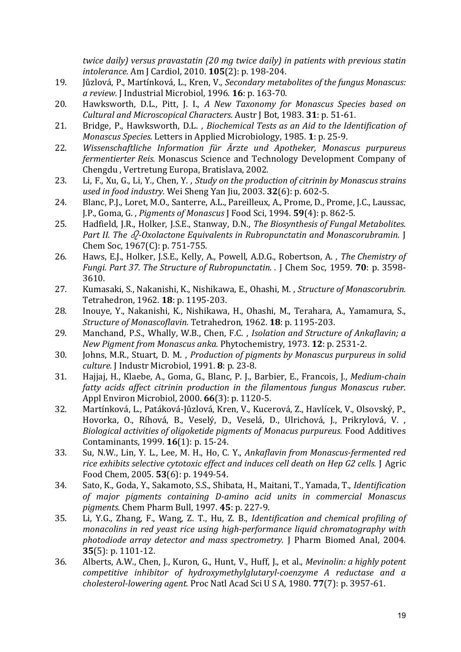*twice daily) versus pravastatin (20 mg twice daily) in patients with previous statin intolerance.* Am J Cardiol, 2010. **105**(2): p. 198‐204. 

- 19. Jůzlová, P., Martínková, L., Kren, V., *Secondary metabolites of the fungus Monascus: a review.* J Industrial Microbiol, 1996. **16**: p. 163‐70.
- 20. Hawksworth, D.L., Pitt, J. I., *A New Taxonomy for Monascus Species based on Cultural and Microscopical Characters.* Austr J Bot, 1983. **31**: p. 51‐61.
- 21. Bridge, P., Hawksworth, D.L. , *Biochemical Tests as an Aid to the Identification of Monascus Species.* Letters in Applied Microbiology, 1985. 1: p. 25-9.
- 22. *Wissenschaftliche Information für Ärzte und Apotheker, Monascus purpureus fermentierter Reis.* Monascus Science and Technology Development Company of Chengdu, Vertretung Europa, Bratislava, 2002.
- 23. Li, F., Xu, G., Li, Y., Chen, Y. , *Study on the production of citrinin by Monascus strains used in food industry.* Wei Sheng Yan Jiu, 2003. **32**(6): p. 602‐5.
- 24. Blanc, P.J., Loret, M.O., Santerre, A.L., Pareilleux, A., Prome, D., Prome, J.C., Laussac, J.P., Goma, G. , *Pigments of Monascus* J Food Sci, 1994. **59**(4): p. 862‐5.
- 25. Hadfield, J.R., Holker, J.S.E., Stanway, D.N., *The Biosynthesis of Fungal Metabolites. Part II. The ‐Oxolactone Equivalents in Rubropunctatin and Monascorubramin.* J Chem Soc, 1967(C): p. 751-755.
- 26. Haws, E.J., Holker, J.S.E., Kelly, A., Powell, A.D.G., Robertson, A. , *The Chemistry of Fungi. Part 37. The Structure of Rubropunctatin. .* J Chem Soc, 1959. **70**: p. 3598‐ 3610.
- 27. Kumasaki, S., Nakanishi, K., Nishikawa, E., Ohashi, M., *Structure of Monascorubrin.* Tetrahedron, 1962. 18: p. 1195-203.
- 28. Inouye, Y., Nakanishi, K., Nishikawa, H., Ohashi, M., Terahara, A., Yamamura, S., *Structure of Monascoflavin.* Tetrahedron, 1962. **18**: p. 1195‐203.
- 29. Manchand, P.S., Whally, W.B., Chen, F.C. , *Isolation and Structure of Ankaflavin; a New Pigment from Monascus anka.* Phytochemistry, 1973. **12**: p. 2531‐2.
- 30. Johns, M.R., Stuart, D. M. , *Production of pigments by Monascus purpureus in solid culture.* J Industr Microbiol, 1991. **8**: p. 23‐8.
- 31. Hajjaj, H., Klaebe, A., Goma, G., Blanc, P. J., Barbier, E., Francois, J., *Medium‐chain fatty acids affect citrinin production in the filamentous fungus Monascus ruber.* Appl Environ Microbiol, 2000. **66**(3): p. 1120-5.
- 32. Martínková, L., Patáková-Jůzlová, Kren, V., Kucerová, Z., Havlícek, V., Olsovský, P., Hovorka, O., Ríhová, B., Veselý, D., Veselá, D., Ulrichová, J., Prikrylová, V., *Biological activities of oligoketide pigments of Monacus purpureus.* Food Additives Contaminants, 1999. **16**(1): p. 15-24.
- 33. Su, N.W., Lin, Y. L., Lee, M. H., Ho, C. Y., *Ankaflavin from Monascus‐fermented red rice exhibits selective cytotoxic effect and induces cell death on Hep G2 cells.* J Agric Food Chem, 2005. **53**(6): p. 1949‐54.
- 34. Sato, K., Goda, Y., Sakamoto, S.S., Shibata, H., Maitani, T., Yamada, T., *Identification of major pigments containing D‐amino acid units in commercial Monascus pigments.* Chem Pharm Bull, 1997. **45**: p. 227‐9.
- 35. Li, Y.G., Zhang, F., Wang, Z. T., Hu, Z. B., *Identification and chemical profiling of monacolins in red yeast rice using high‐performance liquid chromatography with photodiode array detector and mass spectrometry.* J Pharm Biomed Anal, 2004. **35**(5): p. 1101-12.
- 36. Alberts, A.W., Chen, J., Kuron, G., Hunt, V., Huff, J., et al., *Mevinolin: a highly potent competitive inhibitor of hydroxymethylglutaryl‐coenzyme A reductase and a cholesterol‐lowering agent.* Proc Natl Acad Sci U S A, 1980. **77**(7): p. 3957‐61.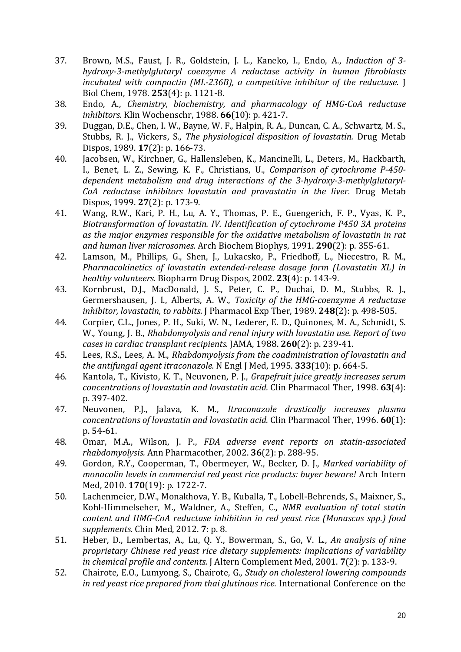- 37. Brown, M.S., Faust, J. R., Goldstein, J. L., Kaneko, I., Endo, A., *Induction of 3‐ hydroxy‐3‐methylglutaryl coenzyme A reductase activity in human fibroblasts incubated with compactin (ML‐236B), a competitive inhibitor of the reductase.* J Biol Chem, 1978. **253**(4): p. 1121‐8.
- 38. Endo, A., *Chemistry, biochemistry, and pharmacology of HMG‐CoA reductase inhibitors.* Klin Wochenschr, 1988. **66**(10): p. 421‐7.
- 39. Duggan, D.E., Chen, I. W., Bayne, W. F., Halpin, R. A., Duncan, C. A., Schwartz, M. S., Stubbs, R. J., Vickers, S., *The physiological disposition of lovastatin.* Drug Metab Dispos, 1989. **17**(2): p. 166-73.
- 40. Jacobsen, W., Kirchner, G., Hallensleben, K., Mancinelli, L., Deters, M., Hackbarth, I., Benet, L. Z., Sewing, K. F., Christians, U., *Comparison of cytochrome P‐450‐ dependent metabolism and drug interactions of the 3‐hydroxy‐3‐methylglutaryl‐ CoA reductase inhibitors lovastatin and pravastatin in the liver.* Drug Metab Dispos, 1999. **27**(2): p. 173‐9.
- 41. Wang, R.W., Kari, P. H., Lu, A. Y., Thomas, P. E., Guengerich, F. P., Vyas, K. P., *Biotransformation of lovastatin. IV. Identification of cytochrome P450 3A proteins as the major enzymes responsible for the oxidative metabolism of lovastatin in rat and human liver microsomes.* Arch Biochem Biophys, 1991. **290**(2): p. 355‐61.
- 42. Lamson, M., Phillips, G., Shen, J., Lukacsko, P., Friedhoff, L., Niecestro, R. M., *Pharmacokinetics of lovastatin extended‐release dosage form (Lovastatin XL) in healthy volunteers.* Biopharm Drug Dispos, 2002. **23**(4): p. 143‐9.
- 43. Kornbrust, D.J., MacDonald, J. S., Peter, C. P., Duchai, D. M., Stubbs, R. J., Germershausen, J. I., Alberts, A. W., *Toxicity of the HMG‐coenzyme A reductase inhibitor, lovastatin, to rabbits. J* Pharmacol Exp Ther, 1989. **248**(2): p. 498-505.
- 44. Corpier, C.L., Jones, P. H., Suki, W. N., Lederer, E. D., Quinones, M. A., Schmidt, S. W., Young, J. B., *Rhabdomyolysis and renal injury with lovastatin use. Report of two cases in cardiac transplant recipients.* JAMA, 1988. **260**(2): p. 239‐41.
- 45. Lees, R.S., Lees, A. M., *Rhabdomyolysis from the coadministration of lovastatin and the antifungal agent itraconazole.* N Engl J Med, 1995. **333**(10): p. 664‐5.
- 46. Kantola, T., Kivisto, K. T., Neuvonen, P. J., *Grapefruit juice greatly increases serum concentrations of lovastatin and lovastatin acid.* Clin Pharmacol Ther, 1998. **63**(4): p. 397-402.
- 47. Neuvonen, P.J., Jalava, K. M., *Itraconazole drastically increases plasma concentrations of lovastatin and lovastatin acid.* Clin Pharmacol Ther, 1996. **60**(1): p. 54‐61.
- 48. Omar, M.A., Wilson, J. P., *FDA adverse event reports on statin‐associated rhabdomyolysis.* Ann Pharmacother, 2002. **36**(2): p. 288‐95.
- 49. Gordon, R.Y., Cooperman, T., Obermeyer, W., Becker, D. J., *Marked variability of monacolin levels in commercial red yeast rice products: buyer beware!* Arch Intern Med, 2010. 170(19): p. 1722-7.
- 50. Lachenmeier, D.W., Monakhova, Y. B., Kuballa, T., Lobell-Behrends, S., Maixner, S., Kohl‐Himmelseher, M., Waldner, A., Steffen, C., *NMR evaluation of total statin content and HMG‐CoA reductase inhibition in red yeast rice (Monascus spp.) food supplements.* Chin Med, 2012. **7**: p. 8.
- 51. Heber, D., Lembertas, A., Lu, Q. Y., Bowerman, S., Go, V. L., *An analysis of nine proprietary Chinese red yeast rice dietary supplements: implications of variability in chemical profile and contents.* J Altern Complement Med, 2001. **7**(2): p. 133-9.
- 52. Chairote, E.O., Lumyong, S., Chairote, G., *Study on cholesterol lowering compounds in red yeast rice prepared from thai glutinous rice.* International Conference on the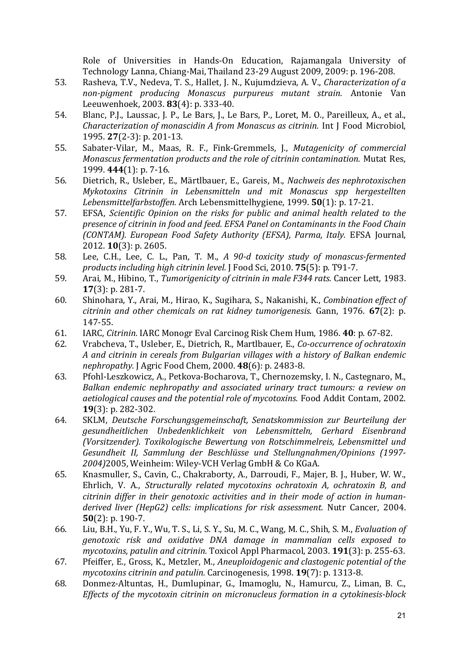Role of Universities in Hands-On Education, Rajamangala University of Technology Lanna, Chiang-Mai, Thailand 23-29 August 2009, 2009: p. 196-208.

- 53. Rasheva, T.V., Nedeva, T. S., Hallet, J. N., Kujumdzieva, A. V., *Characterization of a non‐pigment producing Monascus purpureus mutant strain.* Antonie Van Leeuwenhoek, 2003. **83**(4): p. 333‐40.
- 54. Blanc, P.J., Laussac, J. P., Le Bars, J., Le Bars, P., Loret, M. O., Pareilleux, A., et al., *Characterization of monascidin A from Monascus as citrinin.* Int J Food Microbiol, 1995. **27**(2‐3): p. 201‐13.
- 55. Sabater‐Vilar, M., Maas, R. F., Fink‐Gremmels, J., *Mutagenicity of commercial Monascus fermentation products and the role of citrinin contamination.* Mutat Res, 1999. **444**(1): p. 7‐16.
- 56. Dietrich, R., Usleber, E., Märtlbauer, E., Gareis, M., *Nachweis des nephrotoxischen Mykotoxins Citrinin in Lebensmitteln und mit Monascus spp hergestellten Lebensmittelfarbstoffen.* Arch Lebensmittelhygiene, 1999. **50**(1): p. 17‐21.
- 57. EFSA, *Scientific Opinion on the risks for public and animal health related to the presence of citrinin in food and feed. EFSA Panel on Contaminants in the Food Chain (CONTAM). European Food Safety Authority (EFSA), Parma, Italy.* EFSA Journal, 2012. **10**(3): p. 2605.
- 58. Lee, C.H., Lee, C. L., Pan, T. M., *A 90‐d toxicity study of monascus‐fermented products including high citrinin level.* J Food Sci, 2010. **75**(5): p. T91‐7.
- 59. Arai, M., Hibino, T., *Tumorigenicity of citrinin in male F344 rats.* Cancer Lett, 1983. **17**(3): p. 281-7.
- 60. Shinohara, Y., Arai, M., Hirao, K., Sugihara, S., Nakanishi, K., *Combination effect of citrinin and other chemicals on rat kidney tumorigenesis.* Gann, 1976. **67**(2): p. 147‐55.
- 61. IARC, *Citrinin.* IARC Monogr Eval Carcinog Risk Chem Hum, 1986. **40**: p. 67‐82.
- 62. Vrabcheva, T., Usleber, E., Dietrich, R., Martlbauer, E., *Co‐occurrence of ochratoxin A and citrinin in cereals from Bulgarian villages with a history of Balkan endemic nephropathy.* J Agric Food Chem, 2000. **48**(6): p. 2483‐8.
- 63. Pfohl-Leszkowicz, A., Petkova-Bocharova, T., Chernozemsky, I. N., Castegnaro, M., *Balkan endemic nephropathy and associated urinary tract tumours: a review on aetiological causes and the potential role of mycotoxins.* Food Addit Contam, 2002. **19**(3): p. 282-302.
- 64. SKLM, *Deutsche Forschungsgemeinschaft, Senatskommission zur Beurteilung der gesundheitlichen Unbedenklichkeit von Lebensmitteln, Gerhard Eisenbrand (Vorsitzender). Toxikologische Bewertung von Rotschimmelreis, Lebensmittel und Gesundheit II, Sammlung der Beschlüsse und Stellungnahmen/Opinions (1997‐* 2004)2005, Weinheim: Wiley-VCH Verlag GmbH & Co KGaA.
- 65. Knasmuller, S., Cavin, C., Chakraborty, A., Darroudi, F., Majer, B. J., Huber, W. W., Ehrlich, V. A., *Structurally related mycotoxins ochratoxin A, ochratoxin B, and citrinin differ in their genotoxic activities and in their mode of action in human‐ derived liver (HepG2) cells: implications for risk assessment.* Nutr Cancer, 2004. **50**(2): p. 190-7.
- 66. Liu, B.H., Yu, F. Y., Wu, T. S., Li, S. Y., Su, M. C., Wang, M. C., Shih, S. M., *Evaluation of genotoxic risk and oxidative DNA damage in mammalian cells exposed to mycotoxins, patulin and citrinin.* Toxicol Appl Pharmacol, 2003. **191**(3): p. 255‐63.
- 67. Pfeiffer, E., Gross, K., Metzler, M., *Aneuploidogenic and clastogenic potential of the mycotoxins citrinin and patulin.* Carcinogenesis, 1998. **19**(7): p. 1313‐8.
- 68. Donmez-Altuntas, H., Dumlupinar, G., Imamoglu, N., Hamurcu, Z., Liman, B. C., *Effects of the mycotoxin citrinin on micronucleus formation in a cytokinesis‐block*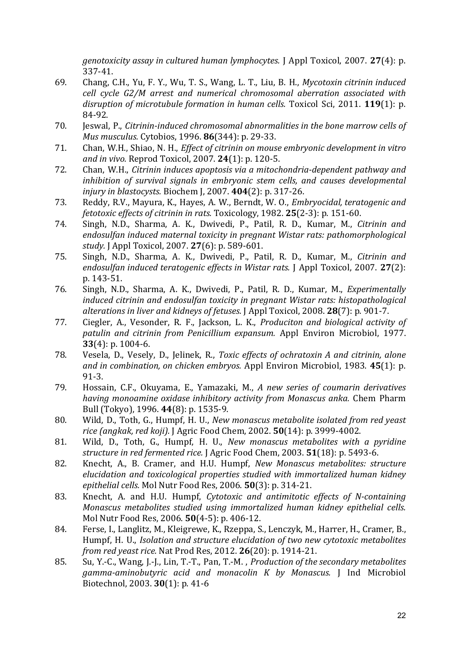*genotoxicity assay in cultured human lymphocytes.* J Appl Toxicol, 2007. **27**(4): p. 337‐41. 

- 69. Chang, C.H., Yu, F. Y., Wu, T. S., Wang, L. T., Liu, B. H., *Mycotoxin citrinin induced cell cycle G2/M arrest and numerical chromosomal aberration associated with disruption of microtubule formation in human cells.* Toxicol Sci, 2011. **119**(1): p. 84‐92.
- 70. Jeswal, P., *Citrinin‐induced chromosomal abnormalities in the bone marrow cells of Mus musculus.* Cytobios, 1996. **86**(344): p. 29‐33.
- 71. Chan, W.H., Shiao, N. H., *Effect of citrinin on mouse embryonic development in vitro and in vivo.* Reprod Toxicol, 2007. **24**(1): p. 120‐5.
- 72. Chan, W.H., *Citrinin induces apoptosis via a mitochondria‐dependent pathway and inhibition of survival signals in embryonic stem cells, and causes developmental injury in blastocysts.* Biochem J, 2007. **404**(2): p. 317‐26.
- 73. Reddy, R.V., Mayura, K., Hayes, A. W., Berndt, W. O., *Embryocidal, teratogenic and fetotoxic effects of citrinin in rats.* Toxicology, 1982. **25**(2‐3): p. 151‐60.
- 74. Singh, N.D., Sharma, A. K., Dwivedi, P., Patil, R. D., Kumar, M., *Citrinin and endosulfan induced maternal toxicity in pregnant Wistar rats: pathomorphological study.* J Appl Toxicol, 2007. **27**(6): p. 589‐601.
- 75. Singh, N.D., Sharma, A. K., Dwivedi, P., Patil, R. D., Kumar, M., *Citrinin and endosulfan induced teratogenic effects in Wistar rats.* J Appl Toxicol, 2007. **27**(2): p. 143‐51.
- 76. Singh, N.D., Sharma, A. K., Dwivedi, P., Patil, R. D., Kumar, M., *Experimentally induced citrinin and endosulfan toxicity in pregnant Wistar rats: histopathological alterations in liver and kidneys of fetuses.* J Appl Toxicol, 2008. **28**(7): p. 901‐7.
- 77. Ciegler, A., Vesonder, R. F., Jackson, L. K., *Produciton and biological activity of patulin and citrinin from Penicillium expansum.* Appl Environ Microbiol, 1977. **33**(4): p. 1004-6.
- 78. Vesela, D., Vesely, D., Jelinek, R., *Toxic effects of ochratoxin A and citrinin, alone and in combination, on chicken embryos.* Appl Environ Microbiol, 1983. **45**(1): p. 91‐3.
- 79. Hossain, C.F., Okuyama, E., Yamazaki, M., *A new series of coumarin derivatives having monoamine oxidase inhibitory activity from Monascus anka.* Chem Pharm Bull (Tokyo), 1996. **44**(8): p. 1535‐9.
- 80. Wild, D., Toth, G., Humpf, H. U., *New monascus metabolite isolated from red yeast rice (angkak, red koji).* J Agric Food Chem, 2002. **50**(14): p. 3999‐4002.
- 81. Wild, D., Toth, G., Humpf, H. U., *New monascus metabolites with a pyridine structure in red fermented rice.* J Agric Food Chem, 2003. **51**(18): p. 5493‐6.
- 82. Knecht, A., B. Cramer, and H.U. Humpf, *New Monascus metabolites: structure elucidation and toxicological properties studied with immortalized human kidney epithelial cells.* Mol Nutr Food Res, 2006. **50**(3): p. 314‐21.
- 83. Knecht, A. and H.U. Humpf, *Cytotoxic and antimitotic effects of N‐containing Monascus metabolites studied using immortalized human kidney epithelial cells.* Mol Nutr Food Res, 2006. **50**(4-5): p. 406-12.
- 84. Ferse, I., Langlitz, M., Kleigrewe, K., Rzeppa, S., Lenczyk, M., Harrer, H., Cramer, B., Humpf, H. U., *Isolation and structure elucidation of two new cytotoxic metabolites from red yeast rice.* Nat Prod Res, 2012. **26**(20): p. 1914‐21.
- 85. Su, Y.‐C., Wang, J.‐J., Lin, T.‐T., Pan, T.‐M. , *Production of the secondary metabolites gamma‐aminobutyric acid and monacolin K by Monascus.* J Ind Microbiol Biotechnol, 2003. **30**(1): p. 41‐6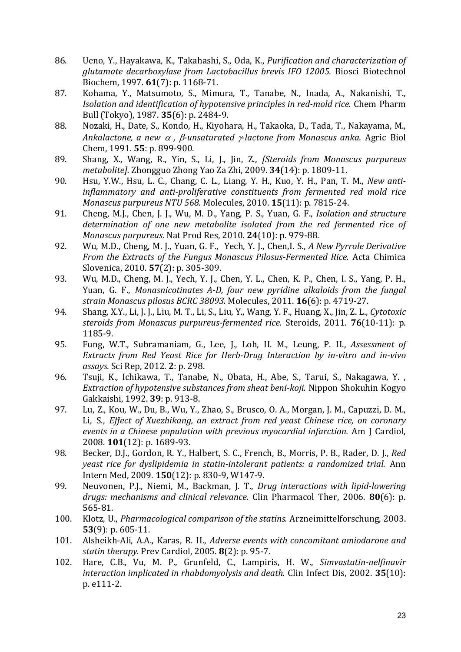- 86. Ueno, Y., Hayakawa, K., Takahashi, S., Oda, K., *Purification and characterization of glutamate decarboxylase from Lactobacillus brevis IFO 12005.* Biosci Biotechnol Biochem, 1997. **61**(7): p. 1168-71.
- 87. Kohama, Y., Matsumoto, S., Mimura, T., Tanabe, N., Inada, A., Nakanishi, T., *Isolation and identification of hypotensive principles in red‐mold rice.* Chem Pharm Bull (Tokyo), 1987. **35**(6): p. 2484‐9.
- 88. Nozaki, H., Date, S., Kondo, H., Kiyohara, H., Takaoka, D., Tada, T., Nakayama, M., *Ankalactone, a new , ‐unsaturated ‐lactone from Monascus anka.* Agric Biol Chem, 1991. **55**: p. 899‐900.
- 89. Shang, X., Wang, R., Yin, S., Li, J., Jin, Z., *[Steroids from Monascus purpureus metabolite].* Zhongguo Zhong Yao Za Zhi, 2009. **34**(14): p. 1809‐11.
- 90. Hsu, Y.W., Hsu, L. C., Chang, C. L., Liang, Y. H., Kuo, Y. H., Pan, T. M., *New antiinflammatory and anti‐proliferative constituents from fermented red mold rice Monascus purpureus NTU 568.* Molecules, 2010. **15**(11): p. 7815‐24.
- 91. Cheng, M.J., Chen, J. J., Wu, M. D., Yang, P. S., Yuan, G. F., *Isolation and structure determination of one new metabolite isolated from the red fermented rice of Monascus purpureus.* Nat Prod Res, 2010. **24**(10): p. 979‐88.
- 92. Wu, M.D., Cheng, M. J., Yuan, G. F., Yech, Y. J., Chen,I. S., *A New Pyrrole Derivative From the Extracts of the Fungus Monascus Pilosus‐Fermented Rice.* Acta Chimica Slovenica, 2010. **57**(2): p. 305-309.
- 93. Wu, M.D., Cheng, M. J., Yech, Y. J., Chen, Y. L., Chen, K. P., Chen, I. S., Yang, P. H., Yuan, G. F., *Monasnicotinates A‐D, four new pyridine alkaloids from the fungal strain Monascus pilosus BCRC 38093.* Molecules, 2011. **16**(6): p. 4719‐27.
- 94. Shang, X.Y., Li, J. J., Liu, M. T., Li, S., Liu, Y., Wang, Y. F., Huang, X., Jin, Z. L., *Cytotoxic steroids from Monascus purpureus‐fermented rice.* Steroids, 2011. **76**(10‐11): p. 1185‐9.
- 95. Fung, W.T., Subramaniam, G., Lee, J., Loh, H. M., Leung, P. H., *Assessment of Extracts from Red Yeast Rice for Herb‐Drug Interaction by in‐vitro and in‐vivo assays.* Sci Rep, 2012. **2**: p. 298.
- 96. Tsuji, K., Ichikawa, T., Tanabe, N., Obata, H., Abe, S., Tarui, S., Nakagawa, Y., *Extraction of hypotensive substances from sheat beni‐koji.* Nippon Shokuhin Kogyo Gakkaishi, 1992. **39**: p. 913‐8.
- 97. Lu, Z., Kou, W., Du, B., Wu, Y., Zhao, S., Brusco, O. A., Morgan, J. M., Capuzzi, D. M., Li, S., *Effect of Xuezhikang, an extract from red yeast Chinese rice, on coronary events in a Chinese population with previous myocardial infarction.* Am J Cardiol, 2008. **101**(12): p. 1689-93.
- 98. Becker, D.J., Gordon, R. Y., Halbert, S. C., French, B., Morris, P. B., Rader, D. J., *Red yeast rice for dyslipidemia in statin‐intolerant patients: a randomized trial.* Ann Intern Med, 2009. **150**(12): p. 830‐9, W147‐9.
- 99. Neuvonen, P.J., Niemi, M., Backman, J. T., *Drug interactions with lipid‐lowering drugs: mechanisms and clinical relevance.* Clin Pharmacol Ther, 2006. **80**(6): p. 565‐81.
- 100. Klotz, U., *Pharmacological comparison of the statins.* Arzneimittelforschung, 2003. **53**(9): p. 605-11.
- 101. Alsheikh‐Ali, A.A., Karas, R. H., *Adverse events with concomitant amiodarone and statin therapy.* Prev Cardiol, 2005. **8**(2): p. 95‐7.
- 102. Hare, C.B., Vu, M. P., Grunfeld, C., Lampiris, H. W., *Simvastatin‐nelfinavir interaction implicated in rhabdomyolysis and death.* Clin Infect Dis, 2002. **35**(10): p. e111‐2.